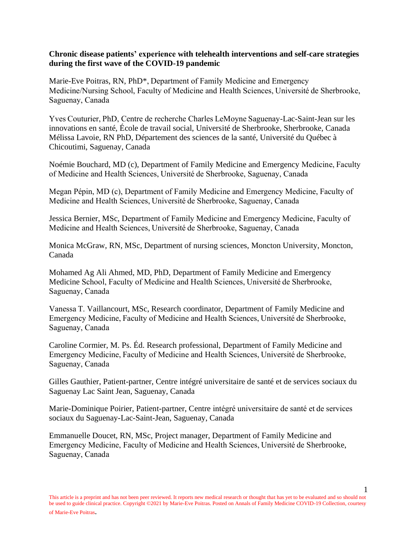### **Chronic disease patients' experience with telehealth interventions and self-care strategies during the first wave of the COVID-19 pandemic**

Marie-Eve Poitras, RN, PhD\*, Department of Family Medicine and Emergency Medicine/Nursing School, Faculty of Medicine and Health Sciences, Université de Sherbrooke, Saguenay, Canada 

Yves Couturier, PhD, Centre de recherche Charles LeMoyne Saguenay-Lac-Saint-Jean sur les innovations en santé, École de travail social, Université de Sherbrooke, Sherbrooke, Canada Mélissa Lavoie, RN PhD, Département des sciences de la santé, Université du Québec à Chicoutimi, Saguenay, Canada

Noémie Bouchard, MD (c), Department of Family Medicine and Emergency Medicine, Faculty of Medicine and Health Sciences, Université de Sherbrooke, Saguenay, Canada 

Megan Pépin, MD (c), Department of Family Medicine and Emergency Medicine, Faculty of Medicine and Health Sciences, Université de Sherbrooke, Saguenay, Canada 

Jessica Bernier, MSc, Department of Family Medicine and Emergency Medicine, Faculty of Medicine and Health Sciences, Université de Sherbrooke, Saguenay, Canada 

Monica McGraw, RN, MSc, Department of nursing sciences, Moncton University, Moncton, Canada

Mohamed Ag Ali Ahmed, MD, PhD, Department of Family Medicine and Emergency Medicine School, Faculty of Medicine and Health Sciences, Université de Sherbrooke, Saguenay, Canada 

Vanessa T. Vaillancourt, MSc, Research coordinator, Department of Family Medicine and Emergency Medicine, Faculty of Medicine and Health Sciences, Université de Sherbrooke, Saguenay, Canada 

Caroline Cormier, M. Ps. Éd. Research professional, Department of Family Medicine and Emergency Medicine, Faculty of Medicine and Health Sciences, Université de Sherbrooke, Saguenay, Canada 

Gilles Gauthier, Patient-partner, Centre intégré universitaire de santé et de services sociaux du Saguenay Lac Saint Jean, Saguenay, Canada

Marie-Dominique Poirier, Patient-partner, Centre intégré universitaire de santé et de services sociaux du Saguenay-Lac-Saint-Jean, Saguenay, Canada

Emmanuelle Doucet, RN, MSc, Project manager, Department of Family Medicine and Emergency Medicine, Faculty of Medicine and Health Sciences, Université de Sherbrooke, Saguenay, Canada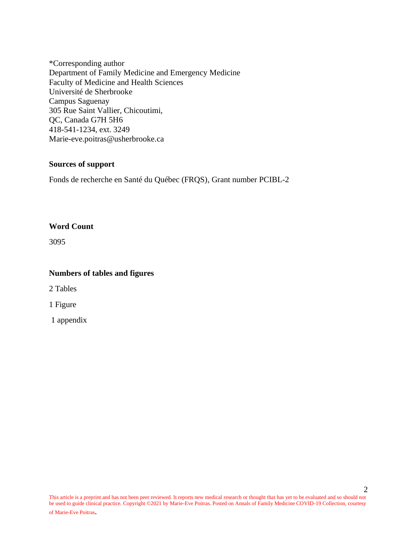\*Corresponding author Department of Family Medicine and Emergency Medicine Faculty of Medicine and Health Sciences Université de Sherbrooke Campus Saguenay 305 Rue Saint Vallier, Chicoutimi, QC, Canada G7H 5H6 418-541-1234, ext. 3249 Marie-eve.poitras@usherbrooke.ca

#### **Sources of support**

Fonds de recherche en Santé du Québec (FRQS), Grant number PCIBL-2

### **Word Count**

3095

#### **Numbers of tables and figures**

2 Tables

1 Figure

1 appendix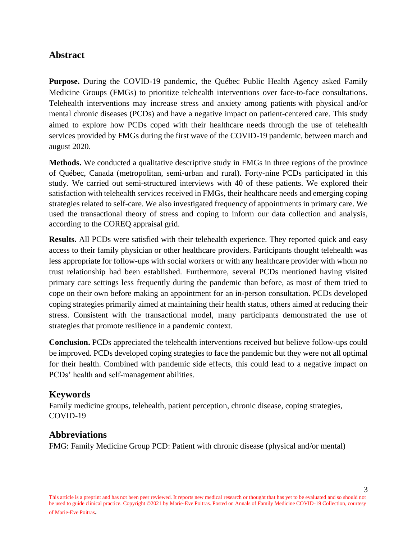## **Abstract**

**Purpose.** During the COVID-19 pandemic, the Québec Public Health Agency asked Family Medicine Groups (FMGs) to prioritize telehealth interventions over face-to-face consultations. Telehealth interventions may increase stress and anxiety among patients with physical and/or mental chronic diseases (PCDs) and have a negative impact on patient-centered care. This study aimed to explore how PCDs coped with their healthcare needs through the use of telehealth services provided by FMGs during the first wave of the COVID-19 pandemic, between march and august 2020.

**Methods.** We conducted a qualitative descriptive study in FMGs in three regions of the province of Québec, Canada (metropolitan, semi-urban and rural). Forty-nine PCDs participated in this study. We carried out semi-structured interviews with 40 of these patients. We explored their satisfaction with telehealth services received in FMGs, their healthcare needs and emerging coping strategies related to self-care. We also investigated frequency of appointments in primary care. We used the transactional theory of stress and coping to inform our data collection and analysis, according to the COREQ appraisal grid.

**Results.** All PCDs were satisfied with their telehealth experience. They reported quick and easy access to their family physician or other healthcare providers. Participants thought telehealth was less appropriate for follow-ups with social workers or with any healthcare provider with whom no trust relationship had been established. Furthermore, several PCDs mentioned having visited primary care settings less frequently during the pandemic than before, as most of them tried to cope on their own before making an appointment for an in-person consultation. PCDs developed coping strategies primarily aimed at maintaining their health status, others aimed at reducing their stress. Consistent with the transactional model, many participants demonstrated the use of strategies that promote resilience in a pandemic context.

**Conclusion.** PCDs appreciated the telehealth interventions received but believe follow-ups could be improved. PCDs developed coping strategies to face the pandemic but they were not all optimal for their health. Combined with pandemic side effects, this could lead to a negative impact on PCDs' health and self-management abilities.

### **Keywords**

Family medicine groups, telehealth, patient perception, chronic disease, coping strategies, COVID-19

## **Abbreviations**

FMG: Family Medicine Group PCD: Patient with chronic disease (physical and/or mental)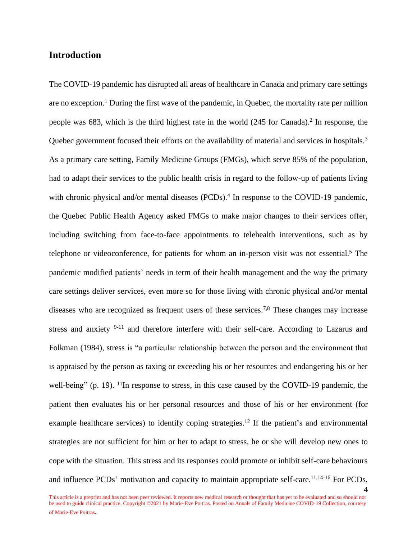### **Introduction**

The COVID-19 pandemic has disrupted all areas of healthcare in Canada and primary care settings are no exception. <sup>1</sup> During the first wave of the pandemic, in Quebec, the mortality rate per million people was 683, which is the third highest rate in the world (245 for Canada). 2 In response, the Quebec government focused their efforts on the availability of material and services in hospitals.<sup>3</sup> As a primary care setting, Family Medicine Groups (FMGs), which serve 85% of the population, had to adapt their services to the public health crisis in regard to the follow-up of patients living with chronic physical and/or mental diseases (PCDs).<sup>4</sup> In response to the COVID-19 pandemic, the Quebec Public Health Agency asked FMGs to make major changes to their services offer, including switching from face-to-face appointments to telehealth interventions, such as by telephone or videoconference, for patients for whom an in-person visit was not essential.<sup>5</sup> The pandemic modified patients' needs in term of their health management and the way the primary care settings deliver services, even more so for those living with chronic physical and/or mental diseases who are recognized as frequent users of these services.<sup>7,8</sup> These changes may increase stress and anxiety <sup>9-11</sup> and therefore interfere with their self-care. According to Lazarus and Folkman (1984), stress is "a particular relationship between the person and the environment that is appraised by the person as taxing or exceeding his or her resources and endangering his or her well-being" (p. 19). <sup>11</sup>In response to stress, in this case caused by the COVID-19 pandemic, the patient then evaluates his or her personal resources and those of his or her environment (for example healthcare services) to identify coping strategies.<sup>12</sup> If the patient's and environmental strategies are not sufficient for him or her to adapt to stress, he or she will develop new ones to cope with the situation. This stress and its responses could promote or inhibit self-care behaviours and influence PCDs' motivation and capacity to maintain appropriate self-care.<sup>11,14-16</sup> For PCDs,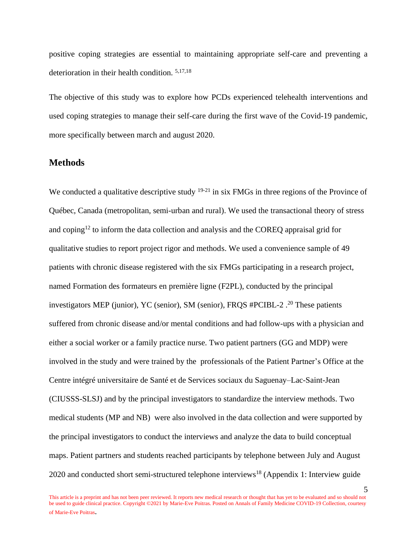positive coping strategies are essential to maintaining appropriate self-care and preventing a deterioration in their health condition. 5,17,18

The objective of this study was to explore how PCDs experienced telehealth interventions and used coping strategies to manage their self-care during the first wave of the Covid-19 pandemic, more specifically between march and august 2020.

### **Methods**

We conducted a qualitative descriptive study <sup>19-21</sup> in six FMGs in three regions of the Province of Québec, Canada (metropolitan, semi-urban and rural). We used the transactional theory of stress and coping<sup>12</sup> to inform the data collection and analysis and the COREQ appraisal grid for qualitative studies to report project rigor and methods. We used a convenience sample of 49 patients with chronic disease registered with the six FMGs participating in a research project, named Formation des formateurs en première ligne (F2PL), conducted by the principal investigators MEP (junior), YC (senior), SM (senior), FRQS #PCIBL-2 . <sup>20</sup> These patients suffered from chronic disease and/or mental conditions and had follow-ups with a physician and either a social worker or a family practice nurse. Two patient partners (GG and MDP) were involved in the study and were trained by the professionals of the Patient Partner's Office at the Centre intégré universitaire de Santé et de Services sociaux du Saguenay–Lac-Saint-Jean (CIUSSS-SLSJ) and by the principal investigators to standardize the interview methods. Two medical students (MP and NB) were also involved in the data collection and were supported by the principal investigators to conduct the interviews and analyze the data to build conceptual maps. Patient partners and students reached participants by telephone between July and August 2020 and conducted short semi-structured telephone interviews<sup>18</sup> (Appendix 1: Interview guide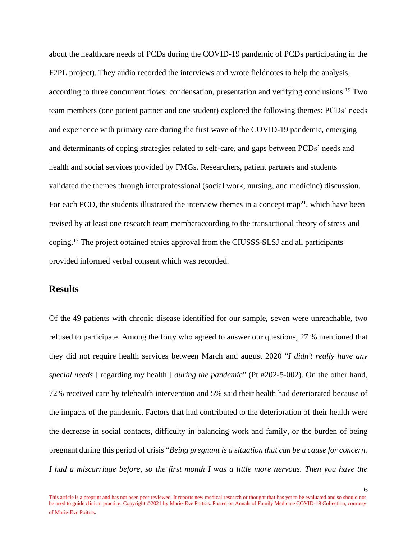about the healthcare needs of PCDs during the COVID-19 pandemic of PCDs participating in the F2PL project). They audio recorded the interviews and wrote fieldnotes to help the analysis, according to three concurrent flows: condensation, presentation and verifying conclusions. <sup>19</sup> Two team members (one patient partner and one student) explored the following themes: PCDs' needs and experience with primary care during the first wave of the COVID-19 pandemic, emerging and determinants of coping strategies related to self-care, and gaps between PCDs' needs and health and social services provided by FMGs. Researchers, patient partners and students validated the themes through interprofessional (social work, nursing, and medicine) discussion. For each PCD, the students illustrated the interview themes in a concept map<sup>21</sup>, which have been revised by at least one research team memberaccording to the transactional theory of stress and coping.<sup>12</sup> The project obtained ethics approval from the CIUSSS-SLSJ and all participants provided informed verbal consent which was recorded.

### **Results**

Of the 49 patients with chronic disease identified for our sample, seven were unreachable, two refused to participate. Among the forty who agreed to answer our questions, 27 % mentioned that they did not require health services between March and august 2020 "*I didn't really have any special needs* [ regarding my health ] *during the pandemic*" (Pt #202-5-002). On the other hand, 72% received care by telehealth intervention and 5% said their health had deteriorated because of the impacts of the pandemic. Factors that had contributed to the deterioration of their health were the decrease in social contacts, difficulty in balancing work and family, or the burden of being pregnant during this period of crisis "*Being pregnant is a situation that can be a cause for concern. I had a miscarriage before, so the first month I was a little more nervous. Then you have the*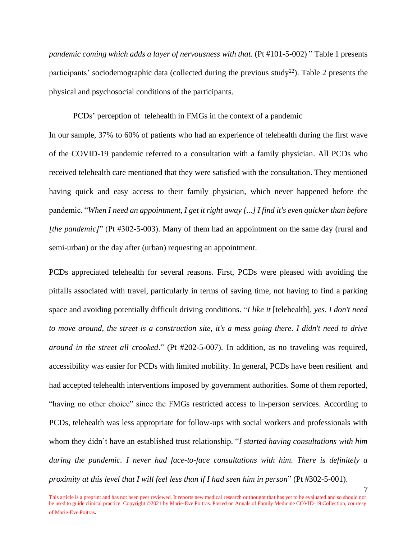*pandemic coming which adds a layer of nervousness with that.* (Pt #101-5-002) " Table 1 presents participants' sociodemographic data (collected during the previous study<sup>22</sup>). Table 2 presents the physical and psychosocial conditions of the participants.

PCDs' perception of telehealth in FMGs in the context of a pandemic

In our sample, 37% to 60% of patients who had an experience of telehealth during the first wave of the COVID-19 pandemic referred to a consultation with a family physician. All PCDs who received telehealth care mentioned that they were satisfied with the consultation. They mentioned having quick and easy access to their family physician, which never happened before the pandemic. "*When I need an appointment, I get it right away [...] I find it's even quicker than before [the pandemic]*" (Pt #302-5-003). Many of them had an appointment on the same day (rural and semi-urban) or the day after (urban) requesting an appointment.

PCDs appreciated telehealth for several reasons. First, PCDs were pleased with avoiding the pitfalls associated with travel, particularly in terms of saving time, not having to find a parking space and avoiding potentially difficult driving conditions. "*I like it* [telehealth], *yes. I don't need to move around, the street is a construction site, it's a mess going there. I didn't need to drive around in the street all crooked*." (Pt #202-5-007). In addition, as no traveling was required, accessibility was easier for PCDs with limited mobility. In general, PCDs have been resilient and had accepted telehealth interventions imposed by government authorities. Some of them reported, "having no other choice" since the FMGs restricted access to in-person services. According to PCDs, telehealth was less appropriate for follow-ups with social workers and professionals with whom they didn't have an established trust relationship. "*I started having consultations with him during the pandemic. I never had face-to-face consultations with him. There is definitely a proximity at this level that I will feel less than if I had seen him in person*" (Pt #302-5-001).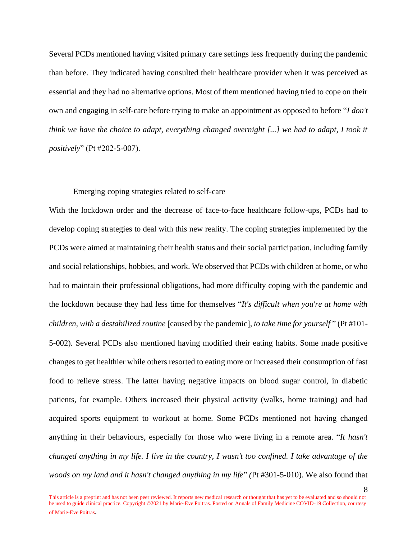Several PCDs mentioned having visited primary care settings less frequently during the pandemic than before. They indicated having consulted their healthcare provider when it was perceived as essential and they had no alternative options. Most of them mentioned having tried to cope on their own and engaging in self-care before trying to make an appointment as opposed to before "*I don't think we have the choice to adapt, everything changed overnight [...] we had to adapt, I took it positively*" (Pt #202-5-007).

#### Emerging coping strategies related to self-care

With the lockdown order and the decrease of face-to-face healthcare follow-ups, PCDs had to develop coping strategies to deal with this new reality. The coping strategies implemented by the PCDs were aimed at maintaining their health status and their social participation, including family and social relationships, hobbies, and work. We observed that PCDs with children at home, or who had to maintain their professional obligations, had more difficulty coping with the pandemic and the lockdown because they had less time for themselves "*It's difficult when you're at home with children, with a destabilized routine* [caused by the pandemic], *to take time for yourself*" (Pt #101-5-002)*.* Several PCDs also mentioned having modified their eating habits. Some made positive changes to get healthier while others resorted to eating more or increased their consumption of fast food to relieve stress. The latter having negative impacts on blood sugar control, in diabetic patients, for example. Others increased their physical activity (walks, home training) and had acquired sports equipment to workout at home. Some PCDs mentioned not having changed anything in their behaviours, especially for those who were living in a remote area. "*It hasn't changed anything in my life. I live in the country, I wasn't too confined. I take advantage of the woods on my land and it hasn't changed anything in my life*" *(*Pt #301-5-010). We also found that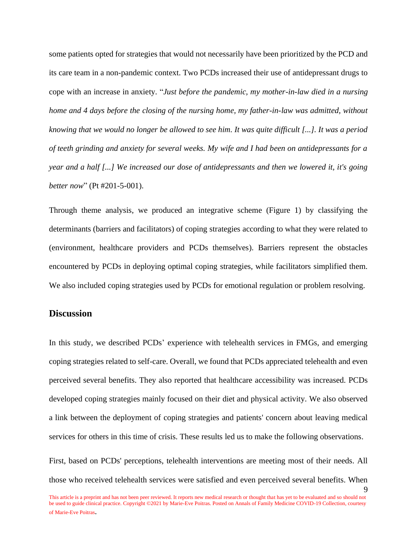some patients opted for strategies that would not necessarily have been prioritized by the PCD and its care team in a non-pandemic context. Two PCDs increased their use of antidepressant drugs to cope with an increase in anxiety*.* "*Just before the pandemic, my mother-in-law died in a nursing home and 4 days before the closing of the nursing home, my father-in-law was admitted, without knowing that we would no longer be allowed to see him. It was quite difficult [...]. It was a period of teeth grinding and anxiety for several weeks. My wife and I had been on antidepressants for a year and a half [...] We increased our dose of antidepressants and then we lowered it, it's going better now*" (Pt #201-5-001).

Through theme analysis, we produced an integrative scheme (Figure 1) by classifying the determinants (barriers and facilitators) of coping strategies according to what they were related to (environment, healthcare providers and PCDs themselves). Barriers represent the obstacles encountered by PCDs in deploying optimal coping strategies, while facilitators simplified them. We also included coping strategies used by PCDs for emotional regulation or problem resolving.

### **Discussion**

In this study, we described PCDs' experience with telehealth services in FMGs, and emerging coping strategies related to self-care. Overall, we found that PCDs appreciated telehealth and even perceived several benefits. They also reported that healthcare accessibility was increased. PCDs developed coping strategies mainly focused on their diet and physical activity. We also observed a link between the deployment of coping strategies and patients' concern about leaving medical services for others in this time of crisis. These results led us to make the following observations.

First, based on PCDs' perceptions, telehealth interventions are meeting most of their needs. All those who received telehealth services were satisfied and even perceived several benefits. When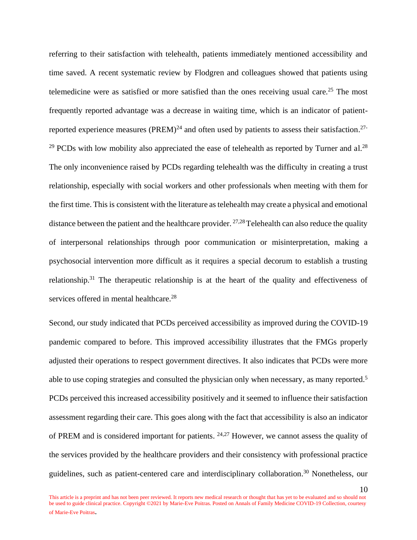referring to their satisfaction with telehealth, patients immediately mentioned accessibility and time saved. A recent systematic review by Flodgren and colleagues showed that patients using telemedicine were as satisfied or more satisfied than the ones receiving usual care.<sup>25</sup> The most frequently reported advantage was a decrease in waiting time, which is an indicator of patientreported experience measures (PREM)<sup>24</sup> and often used by patients to assess their satisfaction.<sup>27-</sup>  $29$  PCDs with low mobility also appreciated the ease of telehealth as reported by Turner and al. $28$ The only inconvenience raised by PCDs regarding telehealth was the difficulty in creating a trust relationship, especially with social workers and other professionals when meeting with them for the first time. This is consistent with the literature as telehealth may create a physical and emotional distance between the patient and the healthcare provider. <sup>27,28</sup> Telehealth can also reduce the quality of interpersonal relationships through poor communication or misinterpretation, making a psychosocial intervention more difficult as it requires a special decorum to establish a trusting relationship.<sup>31</sup> The therapeutic relationship is at the heart of the quality and effectiveness of services offered in mental healthcare.<sup>28</sup>

Second, our study indicated that PCDs perceived accessibility as improved during the COVID-19 pandemic compared to before. This improved accessibility illustrates that the FMGs properly adjusted their operations to respect government directives. It also indicates that PCDs were more able to use coping strategies and consulted the physician only when necessary, as many reported.<sup>5</sup> PCDs perceived this increased accessibility positively and it seemed to influence their satisfaction assessment regarding their care. This goes along with the fact that accessibility is also an indicator of PREM and is considered important for patients.  $24,27$  However, we cannot assess the quality of the services provided by the healthcare providers and their consistency with professional practice guidelines, such as patient-centered care and interdisciplinary collaboration. <sup>30</sup> Nonetheless, our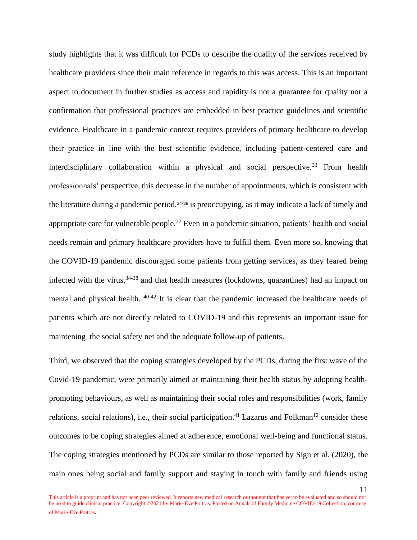study highlights that it was difficult for PCDs to describe the quality of the services received by healthcare providers since their main reference in regards to this was access. This is an important aspect to document in further studies as access and rapidity is not a guarantee for quality nor a confirmation that professional practices are embedded in best practice guidelines and scientific evidence. Healthcare in a pandemic context requires providers of primary healthcare to develop their practice in line with the best scientific evidence, including patient-centered care and interdisciplinary collaboration within a physical and social perspective.<sup>33</sup> From health professionnals' perspective, this decrease in the number of appointments, which is consistent with the literature during a pandemic period, 34-38 is preoccupying, as it may indicate a lack of timely and appropriate care for vulnerable people.<sup>37</sup> Even in a pandemic situation, patients' health and social needs remain and primary healthcare providers have to fulfill them. Even more so, knowing that the COVID-19 pandemic discouraged some patients from getting services, as they feared being infected with the virus, 34-38 and that health measures (lockdowns, quarantines) had an impact on mental and physical health. <sup>40-42</sup> It is clear that the pandemic increased the healthcare needs of patients which are not directly related to COVID-19 and this represents an important issue for maintening the social safety net and the adequate follow-up of patients.

Third, we observed that the coping strategies developed by the PCDs, during the first wave of the Covid-19 pandemic, were primarily aimed at maintaining their health status by adopting healthpromoting behaviours, as well as maintaining their social roles and responsibilities (work, family relations, social relations), i.e., their social participation.<sup>41</sup> Lazarus and Folkman<sup>12</sup> consider these outcomes to be coping strategies aimed at adherence, emotional well-being and functional status. The coping strategies mentioned by PCDs are similar to those reported by Sign et al. (2020), the main ones being social and family support and staying in touch with family and friends using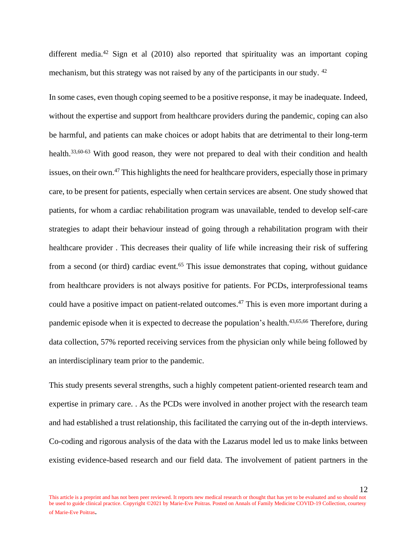different media.<sup>42</sup> Sign et al  $(2010)$  also reported that spirituality was an important coping mechanism, but this strategy was not raised by any of the participants in our study. <sup>42</sup>

In some cases, even though coping seemed to be a positive response, it may be inadequate. Indeed, without the expertise and support from healthcare providers during the pandemic, coping can also be harmful, and patients can make choices or adopt habits that are detrimental to their long-term health.<sup>33,60-63</sup> With good reason, they were not prepared to deal with their condition and health issues, on their own.<sup>47</sup> This highlights the need for healthcare providers, especially those in primary care, to be present for patients, especially when certain services are absent. One study showed that patients, for whom a cardiac rehabilitation program was unavailable, tended to develop self-care strategies to adapt their behaviour instead of going through a rehabilitation program with their healthcare provider . This decreases their quality of life while increasing their risk of suffering from a second (or third) cardiac event.<sup>65</sup> This issue demonstrates that coping, without guidance from healthcare providers is not always positive for patients. For PCDs, interprofessional teams could have a positive impact on patient-related outcomes. <sup>47</sup> This is even more important during a pandemic episode when it is expected to decrease the population's health.<sup>43,65,66</sup> Therefore, during data collection, 57% reported receiving services from the physician only while being followed by an interdisciplinary team prior to the pandemic.

This study presents several strengths, such a highly competent patient-oriented research team and expertise in primary care. . As the PCDs were involved in another project with the research team and had established a trust relationship, this facilitated the carrying out of the in-depth interviews. Co-coding and rigorous analysis of the data with the Lazarus model led us to make links between existing evidence-based research and our field data. The involvement of patient partners in the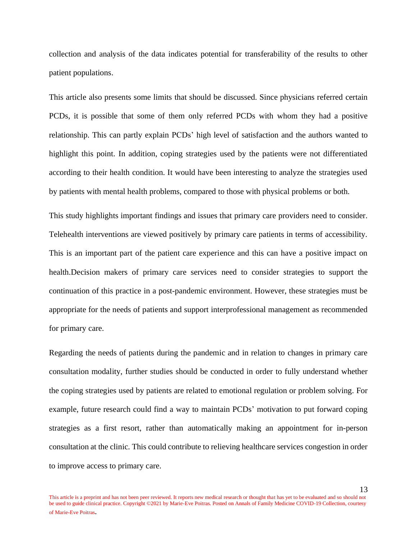collection and analysis of the data indicates potential for transferability of the results to other patient populations.

This article also presents some limits that should be discussed. Since physicians referred certain PCDs, it is possible that some of them only referred PCDs with whom they had a positive relationship. This can partly explain PCDs' high level of satisfaction and the authors wanted to highlight this point. In addition, coping strategies used by the patients were not differentiated according to their health condition. It would have been interesting to analyze the strategies used by patients with mental health problems, compared to those with physical problems or both.

This study highlights important findings and issues that primary care providers need to consider. Telehealth interventions are viewed positively by primary care patients in terms of accessibility. This is an important part of the patient care experience and this can have a positive impact on health.Decision makers of primary care services need to consider strategies to support the continuation of this practice in a post-pandemic environment. However, these strategies must be appropriate for the needs of patients and support interprofessional management as recommended for primary care.

Regarding the needs of patients during the pandemic and in relation to changes in primary care consultation modality, further studies should be conducted in order to fully understand whether the coping strategies used by patients are related to emotional regulation or problem solving. For example, future research could find a way to maintain PCDs' motivation to put forward coping strategies as a first resort, rather than automatically making an appointment for in-person consultation at the clinic. This could contribute to relieving healthcare services congestion in order to improve access to primary care.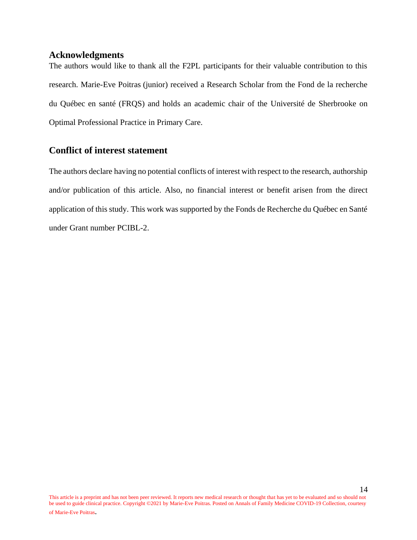## **Acknowledgments**

The authors would like to thank all the F2PL participants for their valuable contribution to this research. Marie-Eve Poitras (junior) received a Research Scholar from the Fond de la recherche du Québec en santé (FRQS) and holds an academic chair of the Université de Sherbrooke on Optimal Professional Practice in Primary Care.

### **Conflict of interest statement**

The authors declare having no potential conflicts of interest with respect to the research, authorship and/or publication of this article. Also, no financial interest or benefit arisen from the direct application of this study. This work was supported by the Fonds de Recherche du Québec en Santé under Grant number PCIBL-2.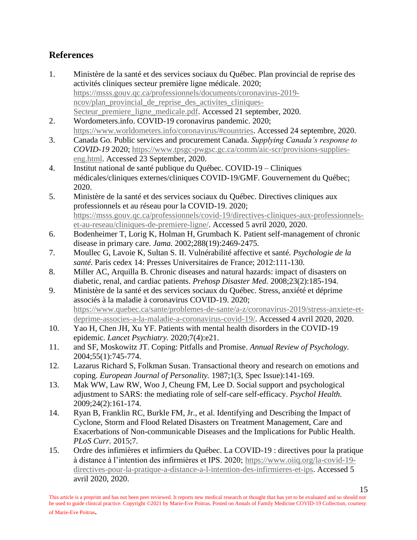# **References**

- 1. Ministère de la santé et des services sociaux du Québec. Plan provincial de reprise des activités cliniques secteur première ligne médicale. 2020; [https://msss.gouv.qc.ca/professionnels/documents/coronavirus-2019](https://msss.gouv.qc.ca/professionnels/documents/coronavirus-2019-ncov/plan_provincial_de_reprise_des_activites_cliniques-Secteur_premiere_ligne_medicale.pdf) [ncov/plan\\_provincial\\_de\\_reprise\\_des\\_activites\\_cliniques-](https://msss.gouv.qc.ca/professionnels/documents/coronavirus-2019-ncov/plan_provincial_de_reprise_des_activites_cliniques-Secteur_premiere_ligne_medicale.pdf)[Secteur\\_premiere\\_ligne\\_medicale.pdf.](https://msss.gouv.qc.ca/professionnels/documents/coronavirus-2019-ncov/plan_provincial_de_reprise_des_activites_cliniques-Secteur_premiere_ligne_medicale.pdf) Accessed 21 september, 2020.
- 2. Wordometers.info. COVID-19 coronavirus pandemic. 2020; [https://www.worldometers.info/coronavirus/#countries.](https://www.worldometers.info/coronavirus/#countries) Accessed 24 septembre, 2020.
- 3. Canada Go. Public services and procurement Canada. *Supplying Canada's response to COVID-19* 2020; [https://www.tpsgc-pwgsc.gc.ca/comm/aic-scr/provisions-supplies](https://www.tpsgc-pwgsc.gc.ca/comm/aic-scr/provisions-supplies-eng.html)[eng.html.](https://www.tpsgc-pwgsc.gc.ca/comm/aic-scr/provisions-supplies-eng.html) Accessed 23 September, 2020.
- 4. Institut national de santé publique du Québec. COVID-19 Cliniques médicales/cliniques externes/cliniques COVID-19/GMF. Gouvernement du Québec; 2020.
- 5. Ministère de la santé et des services sociaux du Québec. Directives cliniques aux professionnels et au réseau pour la COVID-19. 2020; [https://msss.gouv.qc.ca/professionnels/covid-19/directives-cliniques-aux-professionnels](https://msss.gouv.qc.ca/professionnels/covid-19/directives-cliniques-aux-professionnels-et-au-reseau/cliniques-de-premiere-ligne/)[et-au-reseau/cliniques-de-premiere-ligne/.](https://msss.gouv.qc.ca/professionnels/covid-19/directives-cliniques-aux-professionnels-et-au-reseau/cliniques-de-premiere-ligne/) Accessed 5 avril 2020, 2020.
- 6. Bodenheimer T, Lorig K, Holman H, Grumbach K. Patient self-management of chronic disease in primary care. *Jama.* 2002;288(19):2469-2475.
- 7. Moullec G, Lavoie K, Sultan S. II. Vulnérabilité affective et santé. *Psychologie de la santé*. Paris cedex 14: Presses Universitaires de France; 2012:111-130.
- 8. Miller AC, Arquilla B. Chronic diseases and natural hazards: impact of disasters on diabetic, renal, and cardiac patients. *Prehosp Disaster Med.* 2008;23(2):185-194.
- 9. Ministère de la santé et des services sociaux du Québec. Stress, anxiété et déprime associés à la maladie à coronavirus COVID-19. 2020; [https://www.quebec.ca/sante/problemes-de-sante/a-z/coronavirus-2019/stress-anxiete-et](https://www.quebec.ca/sante/problemes-de-sante/a-z/coronavirus-2019/stress-anxiete-et-deprime-associes-a-la-maladie-a-coronavirus-covid-19/)[deprime-associes-a-la-maladie-a-coronavirus-covid-19/.](https://www.quebec.ca/sante/problemes-de-sante/a-z/coronavirus-2019/stress-anxiete-et-deprime-associes-a-la-maladie-a-coronavirus-covid-19/) Accessed 4 avril 2020, 2020.
- 10. Yao H, Chen JH, Xu YF. Patients with mental health disorders in the COVID-19 epidemic. *Lancet Psychiatry.* 2020;7(4):e21.
- 11. and SF, Moskowitz JT. Coping: Pitfalls and Promise. *Annual Review of Psychology.*  2004;55(1):745-774.
- 12. Lazarus Richard S, Folkman Susan. Transactional theory and research on emotions and coping. *European Journal of Personality.* 1987;1(3, Spec Issue):141-169.
- 13. Mak WW, Law RW, Woo J, Cheung FM, Lee D. Social support and psychological adjustment to SARS: the mediating role of self-care self-efficacy. *Psychol Health.*  2009;24(2):161-174.
- 14. Ryan B, Franklin RC, Burkle FM, Jr., et al. Identifying and Describing the Impact of Cyclone, Storm and Flood Related Disasters on Treatment Management, Care and Exacerbations of Non-communicable Diseases and the Implications for Public Health. *PLoS Curr.* 2015;7.
- 15. Ordre des infimières et infirmiers du Québec. La COVID-19 : directives pour la pratique à distance à l'intention des infirmières et IPS. 2020; [https://www.oiiq.org/la-covid-19](https://www.oiiq.org/la-covid-19-directives-pour-la-pratique-a-distance-a-l-intention-des-infirmieres-et-ips) [directives-pour-la-pratique-a-distance-a-l-intention-des-infirmieres-et-ips.](https://www.oiiq.org/la-covid-19-directives-pour-la-pratique-a-distance-a-l-intention-des-infirmieres-et-ips) Accessed 5 avril 2020, 2020.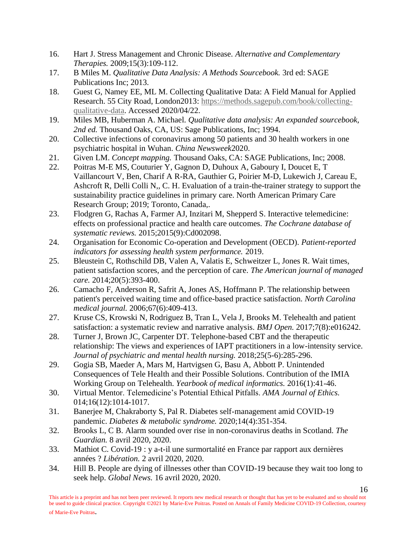- 16. Hart J. Stress Management and Chronic Disease. *Alternative and Complementary Therapies.* 2009;15(3):109-112.
- 17. B Miles M. *Qualitative Data Analysis: A Methods Sourcebook.* 3rd ed: SAGE Publications Inc; 2013.
- 18. Guest G, Namey EE, ML M. Collecting Qualitative Data: A Field Manual for Applied Research. 55 City Road, London2013: [https://methods.sagepub.com/book/collecting](https://methods.sagepub.com/book/collecting-qualitative-data)[qualitative-data.](https://methods.sagepub.com/book/collecting-qualitative-data) Accessed 2020/04/22.
- 19. Miles MB, Huberman A. Michael. *Qualitative data analysis: An expanded sourcebook, 2nd ed.* Thousand Oaks, CA, US: Sage Publications, Inc; 1994.
- 20. Collective infections of coronavirus among 50 patients and 30 health workers in one psychiatric hospital in Wuhan. *China Newsweek*2020.
- 21. Given LM. *Concept mapping.* Thousand Oaks, CA: SAGE Publications, Inc; 2008.
- 22. Poitras M-E MS, Couturier Y, Gagnon D, Duhoux A, Gaboury I, Doucet E, T Vaillancourt V, Ben, Charif A R-RA, Gauthier G, Poirier M-D, Lukewich J, Careau E, Ashcroft R, Delli Colli N,, C. H. Evaluation of a train-the-trainer strategy to support the sustainability practice guidelines in primary care. North American Primary Care Research Group; 2019; Toronto, Canada,.
- 23. Flodgren G, Rachas A, Farmer AJ, Inzitari M, Shepperd S. Interactive telemedicine: effects on professional practice and health care outcomes. *The Cochrane database of systematic reviews.* 2015;2015(9):Cd002098.
- 24. Organisation for Economic Co-operation and Development (OECD). *Patient-reported indicators for assessing health system performance.* 2019.
- 25. Bleustein C, Rothschild DB, Valen A, Valatis E, Schweitzer L, Jones R. Wait times, patient satisfaction scores, and the perception of care. *The American journal of managed care.* 2014;20(5):393-400.
- 26. Camacho F, Anderson R, Safrit A, Jones AS, Hoffmann P. The relationship between patient's perceived waiting time and office-based practice satisfaction. *North Carolina medical journal.* 2006;67(6):409-413.
- 27. Kruse CS, Krowski N, Rodriguez B, Tran L, Vela J, Brooks M. Telehealth and patient satisfaction: a systematic review and narrative analysis. *BMJ Open.* 2017;7(8):e016242.
- 28. Turner J, Brown JC, Carpenter DT. Telephone-based CBT and the therapeutic relationship: The views and experiences of IAPT practitioners in a low-intensity service. *Journal of psychiatric and mental health nursing.* 2018;25(5-6):285-296.
- 29. Gogia SB, Maeder A, Mars M, Hartvigsen G, Basu A, Abbott P. Unintended Consequences of Tele Health and their Possible Solutions. Contribution of the IMIA Working Group on Telehealth. *Yearbook of medical informatics.* 2016(1):41-46.
- 30. Virtual Mentor. Telemedicine's Potential Ethical Pitfalls. *AMA Journal of Ethics.*  014;16(12):1014-1017.
- 31. Banerjee M, Chakraborty S, Pal R. Diabetes self-management amid COVID-19 pandemic. *Diabetes & metabolic syndrome.* 2020;14(4):351-354.
- 32. Brooks L, C B. Alarm sounded over rise in non-coronavirus deaths in Scotland. *The Guardian.* 8 avril 2020, 2020.
- 33. Mathiot C. Covid-19 : y a-t-il une surmortalité en France par rapport aux dernières années ? *Libération.* 2 avril 2020, 2020.
- 34. Hill B. People are dying of illnesses other than COVID-19 because they wait too long to seek help. *Global News.* 16 avril 2020, 2020.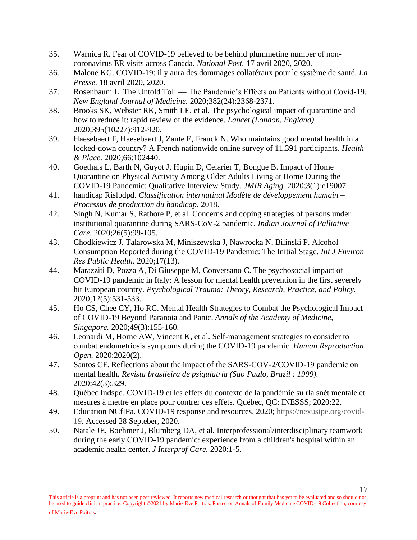- 35. Warnica R. Fear of COVID-19 believed to be behind plummeting number of noncoronavirus ER visits across Canada. *National Post.* 17 avril 2020, 2020.
- 36. Malone KG. COVID-19: il y aura des dommages collatéraux pour le système de santé. *La Presse.* 18 avril 2020, 2020.
- 37. Rosenbaum L. The Untold Toll The Pandemic's Effects on Patients without Covid-19. *New England Journal of Medicine.* 2020;382(24):2368-2371.
- 38. Brooks SK, Webster RK, Smith LE, et al. The psychological impact of quarantine and how to reduce it: rapid review of the evidence. *Lancet (London, England).*  2020;395(10227):912-920.
- 39. Haesebaert F, Haesebaert J, Zante E, Franck N. Who maintains good mental health in a locked-down country? A French nationwide online survey of 11,391 participants. *Health & Place.* 2020;66:102440.
- 40. Goethals L, Barth N, Guyot J, Hupin D, Celarier T, Bongue B. Impact of Home Quarantine on Physical Activity Among Older Adults Living at Home During the COVID-19 Pandemic: Qualitative Interview Study. *JMIR Aging.* 2020;3(1):e19007.
- 41. handicap Rislpdpd. *Classification internatinal Modèle de développement humain – Processus de production du handicap.* 2018.
- 42. Singh N, Kumar S, Rathore P, et al. Concerns and coping strategies of persons under institutional quarantine during SARS-CoV-2 pandemic. *Indian Journal of Palliative Care.* 2020;26(5):99-105.
- 43. Chodkiewicz J, Talarowska M, Miniszewska J, Nawrocka N, Bilinski P. Alcohol Consumption Reported during the COVID-19 Pandemic: The Initial Stage. *Int J Environ Res Public Health.* 2020;17(13).
- 44. Marazziti D, Pozza A, Di Giuseppe M, Conversano C. The psychosocial impact of COVID-19 pandemic in Italy: A lesson for mental health prevention in the first severely hit European country. *Psychological Trauma: Theory, Research, Practice, and Policy.*  2020;12(5):531-533.
- 45. Ho CS, Chee CY, Ho RC. Mental Health Strategies to Combat the Psychological Impact of COVID-19 Beyond Paranoia and Panic. *Annals of the Academy of Medicine, Singapore.* 2020;49(3):155-160.
- 46. Leonardi M, Horne AW, Vincent K, et al. Self-management strategies to consider to combat endometriosis symptoms during the COVID-19 pandemic. *Human Reproduction Open.* 2020;2020(2).
- 47. Santos CF. Reflections about the impact of the SARS-COV-2/COVID-19 pandemic on mental health. *Revista brasileira de psiquiatria (Sao Paulo, Brazil : 1999).*  2020;42(3):329.
- 48. Québec Indspd. COVID-19 et les effets du contexte de la pandémie su rla snét mentale et mesures à mettre en place pour contrer ces effets. Québec, QC: INESSS; 2020:22.
- 49. Education NCfIPa. COVID-19 response and resources. 2020; [https://nexusipe.org/covid-](https://nexusipe.org/covid-19)[19.](https://nexusipe.org/covid-19) Accessed 28 Septeber, 2020.
- 50. Natale JE, Boehmer J, Blumberg DA, et al. Interprofessional/interdisciplinary teamwork during the early COVID-19 pandemic: experience from a children's hospital within an academic health center. *J Interprof Care.* 2020:1-5.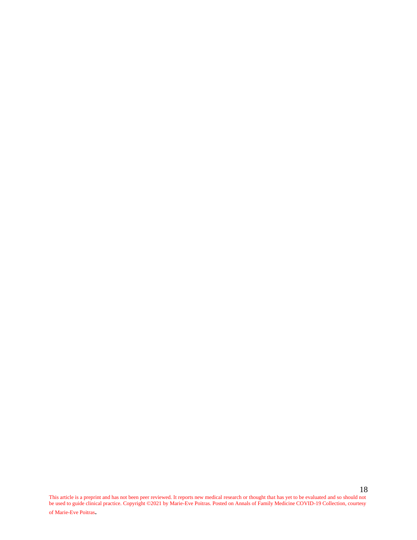This article is a preprint and has not been peer reviewed. It reports new medical research or thought that has yet to be evaluated and so should not be used to guide clinical practice. Copyright ©2021 by Marie-Eve Poitras. Posted on Annals of Family Medicine COVID-19 Collection, courtesy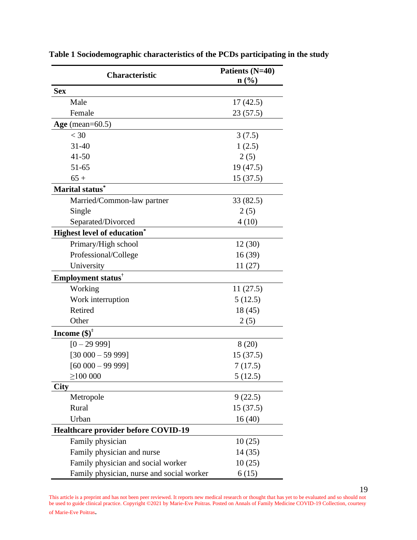| Characteristic                            | Patients (N=40)  |
|-------------------------------------------|------------------|
|                                           | $\mathbf{n}(\%)$ |
| <b>Sex</b>                                |                  |
| Male                                      | 17(42.5)         |
| Female                                    | 23(57.5)         |
| Age (mean= $60.5$ )                       |                  |
| $<$ 30                                    | 3(7.5)           |
| $31 - 40$                                 | 1(2.5)           |
| $41 - 50$                                 | 2(5)             |
| $51 - 65$                                 | 19 (47.5)        |
| $65+$                                     | 15(37.5)         |
| Marital status*                           |                  |
| Married/Common-law partner                | 33 (82.5)        |
| Single                                    | 2(5)             |
| Separated/Divorced                        | 4(10)            |
| <b>Highest level of education*</b>        |                  |
| Primary/High school                       | 12(30)           |
| Professional/College                      | 16(39)           |
| University                                | 11(27)           |
| <b>Employment status</b> <sup>†</sup>     |                  |
| Working                                   | 11(27.5)         |
| Work interruption                         | 5(12.5)          |
| Retired                                   | 18 (45)          |
| Other                                     | 2(5)             |
| Income $(\text{\$})^{\text{\#}}$          |                  |
| $[0 - 29999]$                             | 8 (20)           |
| $[30000 - 5999]$                          | 15(37.5)         |
| $[60 000 - 99 999]$                       | 7(17.5)          |
| $\geq$ 100 000                            | 5(12.5)          |
| <b>City</b>                               |                  |
| Metropole                                 | 9(22.5)          |
| Rural                                     | 15(37.5)         |
| Urban                                     | 16(40)           |
| Healthcare provider before COVID-19       |                  |
| Family physician                          | 10(25)           |
| Family physician and nurse                | 14 (35)          |
| Family physician and social worker        | 10(25)           |
| Family physician, nurse and social worker | 6(15)            |

**Table 1 Sociodemographic characteristics of the PCDs participating in the study**

This article is a preprint and has not been peer reviewed. It reports new medical research or thought that has yet to be evaluated and so should not be used to guide clinical practice. Copyright ©2021 by Marie-Eve Poitras. Posted on Annals of Family Medicine COVID-19 Collection, courtesy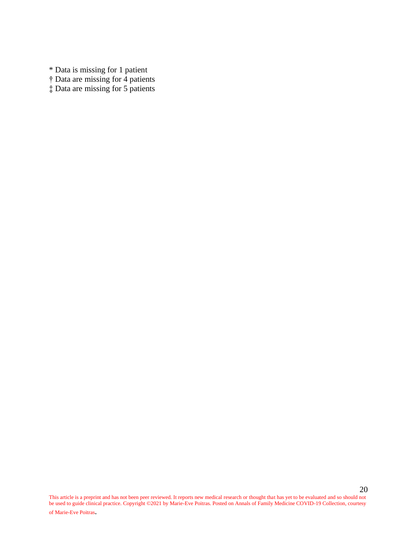\* Data is missing for 1 patient

† Data are missing for 4 patients

‡ Data are missing for 5 patients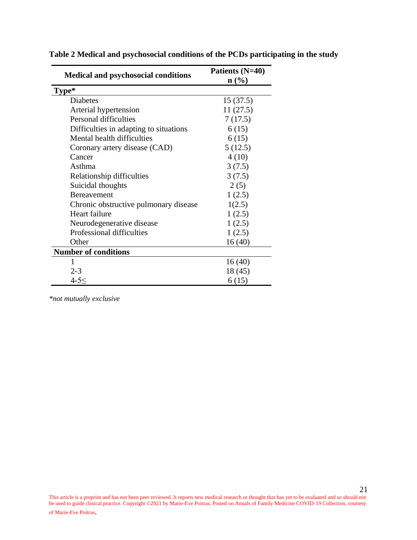| <b>Medical and psychosocial conditions</b> | Patients (N=40)<br>$\mathbf{n}(\%)$ |
|--------------------------------------------|-------------------------------------|
|                                            |                                     |
| <b>Diabetes</b>                            | 15(37.5)                            |
| Arterial hypertension                      | 11(27.5)                            |
| Personal difficulties                      | 7(17.5)                             |
| Difficulties in adapting to situations     | 6(15)                               |
| Mental health difficulties                 | 6(15)                               |
| Coronary artery disease (CAD)              | 5(12.5)                             |
| Cancer                                     | 4(10)                               |
| Asthma                                     | 3(7.5)                              |
| Relationship difficulties                  | 3(7.5)                              |
| Suicidal thoughts                          | 2(5)                                |
| <b>Bereavement</b>                         | 1(2.5)                              |
| Chronic obstructive pulmonary disease      | 1(2.5)                              |
| Heart failure                              | 1(2.5)                              |
| Neurodegenerative disease                  | 1(2.5)                              |
| Professional difficulties                  | 1(2.5)                              |
| Other                                      | 16(40)                              |
| <b>Number of conditions</b>                |                                     |
| 1                                          | 16(40)                              |
| $2 - 3$                                    | 18 (45)                             |
| $4 - 5 <$                                  | 6(15)                               |

**Table 2 Medical and psychosocial conditions of the PCDs participating in the study**

*\*not mutually exclusive*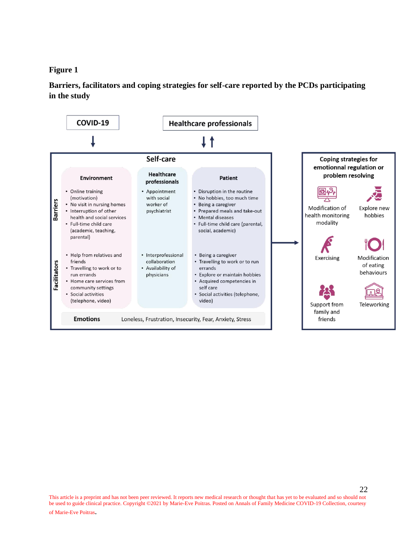### **Figure 1**

**Barriers, facilitators and coping strategies for self-care reported by the PCDs participating in the study**

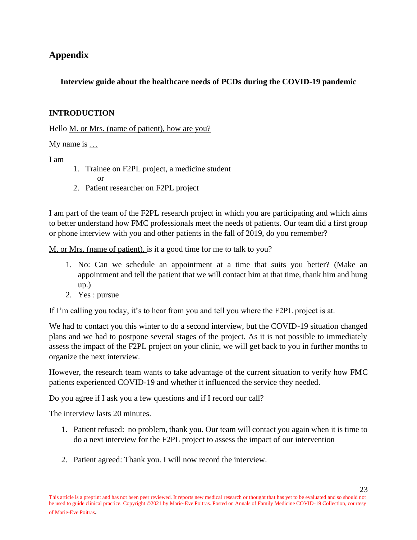# **Appendix**

**Interview guide about the healthcare needs of PCDs during the COVID-19 pandemic**

### **INTRODUCTION**

Hello <u>M. or Mrs. (name of patient)</u>, how are you?

My name is  $\dots$ 

I am

- 1. Trainee on F2PL project, a medicine student
	-

or

2. Patient researcher on F2PL project

I am part of the team of the F2PL research project in which you are participating and which aims to better understand how FMC professionals meet the needs of patients. Our team did a first group or phone interview with you and other patients in the fall of 2019, do you remember?

M. or Mrs. (name of patient), is it a good time for me to talk to you?

- 1. No: Can we schedule an appointment at a time that suits you better? (Make an appointment and tell the patient that we will contact him at that time, thank him and hung up.)
- 2. Yes : pursue

If I'm calling you today, it's to hear from you and tell you where the F2PL project is at.

We had to contact you this winter to do a second interview, but the COVID-19 situation changed plans and we had to postpone several stages of the project. As it is not possible to immediately assess the impact of the F2PL project on your clinic, we will get back to you in further months to organize the next interview.

However, the research team wants to take advantage of the current situation to verify how FMC patients experienced COVID-19 and whether it influenced the service they needed.

Do you agree if I ask you a few questions and if I record our call?

The interview lasts 20 minutes.

- 1. Patient refused: no problem, thank you. Our team will contact you again when it is time to do a next interview for the F2PL project to assess the impact of our intervention
- 2. Patient agreed: Thank you. I will now record the interview.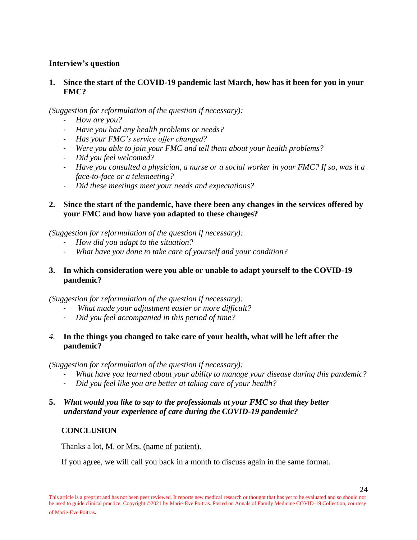### **Interview's question**

### **1. Since the start of the COVID-19 pandemic last March, how has it been for you in your FMC?**

*(Suggestion for reformulation of the question if necessary):*

- *How are you?*
- *Have you had any health problems or needs?*
- *Has your FMC's service offer changed?*
- *Were you able to join your FMC and tell them about your health problems?*
- *Did you feel welcomed?*
- *Have you consulted a physician, a nurse or a social worker in your FMC? If so, was it a face-to-face or a telemeeting?*
- *Did these meetings meet your needs and expectations?*

### **2. Since the start of the pandemic, have there been any changes in the services offered by your FMC and how have you adapted to these changes?**

*(Suggestion for reformulation of the question if necessary):* 

- *How did you adapt to the situation?*
- *What have you done to take care of yourself and your condition?*

### **3. In which consideration were you able or unable to adapt yourself to the COVID-19 pandemic?**

*(Suggestion for reformulation of the question if necessary):* 

- *What made your adjustment easier or more difficult?*
- *Did you feel accompanied in this period of time?*

### *4.* **In the things you changed to take care of your health, what will be left after the pandemic?**

*(Suggestion for reformulation of the question if necessary):* 

- *What have you learned about your ability to manage your disease during this pandemic?*
- *Did you feel like you are better at taking care of your health?*

### **5.** *What would you like to say to the professionals at your FMC so that they better understand your experience of care during the COVID-19 pandemic?*

### **CONCLUSION**

Thanks a lot, M. or Mrs. (name of patient).

If you agree, we will call you back in a month to discuss again in the same format.